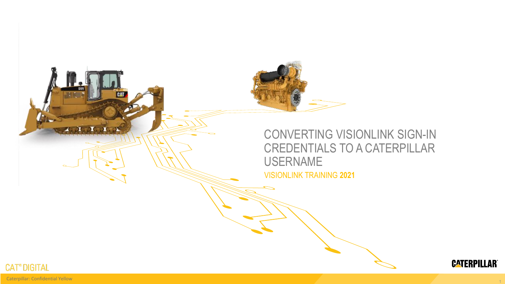





1

Caterpillar: Confidential Yellow

**T. A. A. A. A.**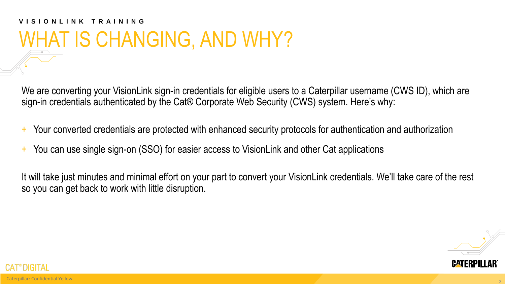# **V I S I O N L I N K T R A I N I N G** WHAT IS CHANGING, AND WHY?

We are converting your VisionLink sign-in credentials for eligible users to a Caterpillar username (CWS ID), which are sign-in credentials authenticated by the Cat® Corporate Web Security (CWS) system. Here's why:

- + Your converted credentials are protected with enhanced security protocols for authentication and authorization
- + You can use single sign-on (SSO) for easier access to VisionLink and other Cat applications

It will take just minutes and minimal effort on your part to convert your VisionLink credentials. We'll take care of the rest so you can get back to work with little disruption.



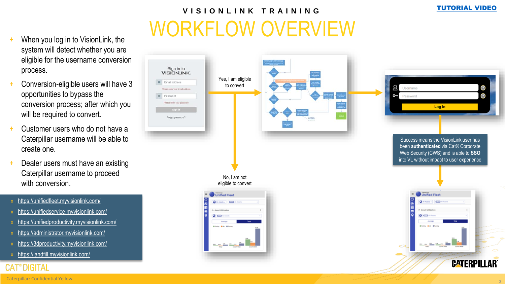## WORKFLOW OVERVIEW **V I S I O N L I N K T R A I N I N G**

- When you log in to VisionLink, the system will detect whether you are eligible for the username conversion process.
- Conversion-eligible users will have 3 opportunities to bypass the conversion process; after which you will be required to convert.
- Customer users who do not have a Caterpillar username will be able to create one.
- Dealer users must have an existing Caterpillar username to proceed with conversion.
- » <https://unifiedfleet.myvisionlink.com/>
- » <https://unifiedservice.myvisionlink.com/>
- » <https://unifiedproductivity.myvisionlink.com/>
- » <https://administrator.myvisionlink.com/>
- » <https://3dproductivity.myvisionlink.com/>
- » <https://landfill.myvisionlink.com/>

### **CAT**<sup>®</sup> DIGITAL



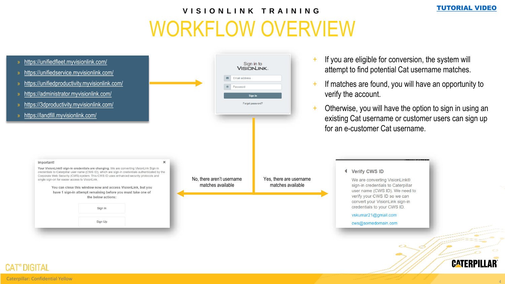4

### WORKFLOW OVERVIEW **V I S I O N L I N K T R A I N I N G**



#### **CAT**<sup>®</sup> DIGITAL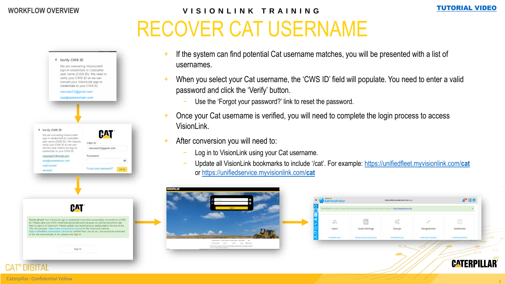## RECOVER CAT USERNAME **V I S I O N L I N K T R A I N I N G WORKFLOW OVERVIEW** [TUTORIAL VIDEO](https://channel1.mediaspace.kaltura.com/media/VisionLink+Sign-In+Credentials+Conversion+to+Caterpillar+Username/1_59a1wclu)



- If the system can find potential Cat username matches, you will be presented with a list of usernames.
- + When you select your Cat username, the 'CWS ID' field will populate. You need to enter a valid password and click the 'Verify' button.
	- Use the 'Forgot your password?' link to reset the password.
- + Once your Cat username is verified, you will need to complete the login process to access VisionLink.
- After conversion you will need to:
	- Log in to VisionLink using your Cat username.
	- − Update all VisionLink bookmarks to include '/cat'. For example: [https://unifiedfleet.myvisionlink.com/](https://unifiedfleet.myvisionlink.com/cat)**cat** or [https://unifiedservice.myvisionlink.com/](https://unifiedservice.myvisionlink.com/cat)**cat**



Administrator А® ⊞Ө **TDOO) CATERPILLAR DEMO DEALER TDOO AS** https://mwisionlink.com/ca  $\square\hspace{-0.1cm}\square$ п. 蒜 ĐÊ  $\rightarrow$ Users **Asset Settings** Groups Integrations Geofences + Add New I + Add New Grou + Add New + Add New Ge



5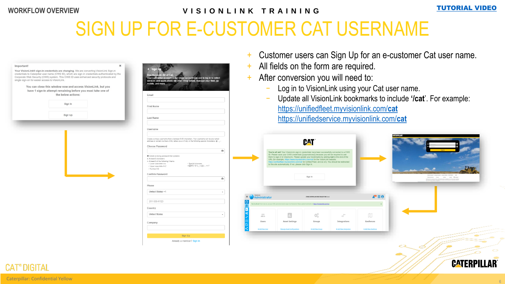### **V I S I O N L I N K T R A I N I N G WORKFLOW OVERVIEW** [TUTORIAL VIDEO](https://channel1.mediaspace.kaltura.com/media/VisionLink+Sign-In+Credentials+Conversion+to+Caterpillar+Username/1_59a1wclu)

# SIGN UP FOR E-CUSTOMER CAT USERNAME



- Customer users can Sign Up for an e-customer Cat user name.
- All fields on the form are required.
- After conversion you will need to:
	- Log in to VisionLink using your Cat user name.
	- − Update all VisionLink bookmarks to include **'/cat**'. For example: [https://unifiedfleet.myvisionlink.com/](https://unifiedfleet.myvisionlink.com/cat)**cat** [https://unifiedservice.myvisionlink.com/](https://unifiedservice.myvisionlink.com/cat)**cat**





#### **CAT<sup>®</sup> DIGITAL**